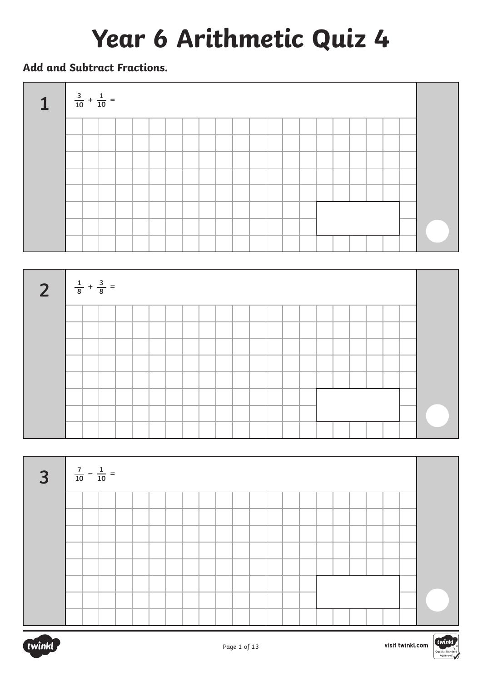# **Year 6 Arithmetic Quiz 4**

#### **Add and Subtract Fractions.**







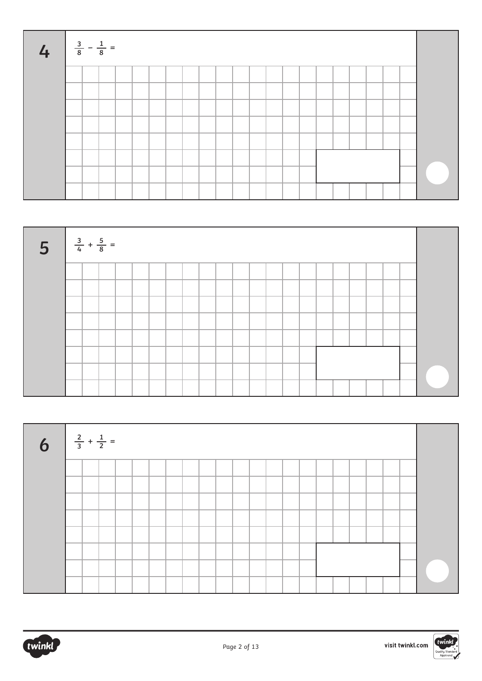| L | $\frac{3}{8} - \frac{1}{8} =$ |  |  |  |  |  |  |  |  |  |  |  |
|---|-------------------------------|--|--|--|--|--|--|--|--|--|--|--|
|   |                               |  |  |  |  |  |  |  |  |  |  |  |
|   |                               |  |  |  |  |  |  |  |  |  |  |  |
|   |                               |  |  |  |  |  |  |  |  |  |  |  |
|   |                               |  |  |  |  |  |  |  |  |  |  |  |
|   |                               |  |  |  |  |  |  |  |  |  |  |  |
|   |                               |  |  |  |  |  |  |  |  |  |  |  |
|   |                               |  |  |  |  |  |  |  |  |  |  |  |
|   |                               |  |  |  |  |  |  |  |  |  |  |  |





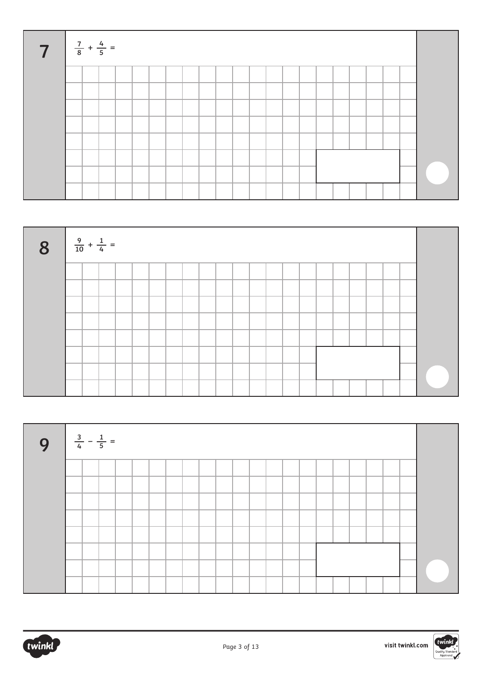| <b>7</b> $\frac{7}{8} + \frac{4}{5} =$ |  |  |  |  |  |  |  |  |  |  |  |
|----------------------------------------|--|--|--|--|--|--|--|--|--|--|--|
|                                        |  |  |  |  |  |  |  |  |  |  |  |
|                                        |  |  |  |  |  |  |  |  |  |  |  |
|                                        |  |  |  |  |  |  |  |  |  |  |  |
|                                        |  |  |  |  |  |  |  |  |  |  |  |
|                                        |  |  |  |  |  |  |  |  |  |  |  |
|                                        |  |  |  |  |  |  |  |  |  |  |  |
|                                        |  |  |  |  |  |  |  |  |  |  |  |
|                                        |  |  |  |  |  |  |  |  |  |  |  |





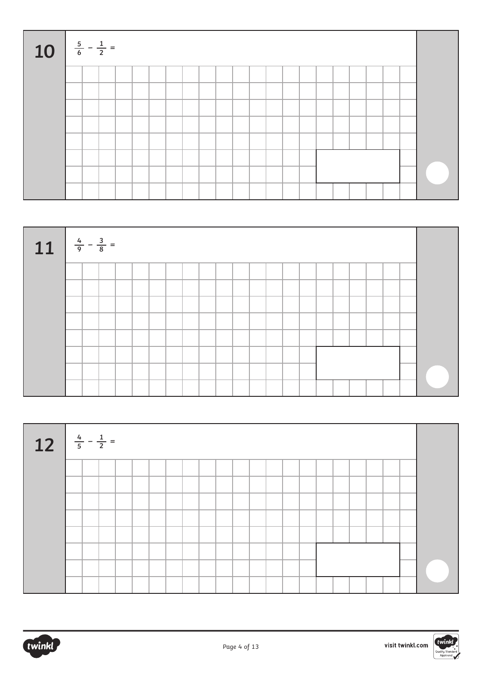| 10 $\frac{5}{6} - \frac{1}{2} =$ |  |  |  |  |  |  |  |  |  |  |  |
|----------------------------------|--|--|--|--|--|--|--|--|--|--|--|
|                                  |  |  |  |  |  |  |  |  |  |  |  |
|                                  |  |  |  |  |  |  |  |  |  |  |  |
|                                  |  |  |  |  |  |  |  |  |  |  |  |
|                                  |  |  |  |  |  |  |  |  |  |  |  |
|                                  |  |  |  |  |  |  |  |  |  |  |  |
|                                  |  |  |  |  |  |  |  |  |  |  |  |
|                                  |  |  |  |  |  |  |  |  |  |  |  |
|                                  |  |  |  |  |  |  |  |  |  |  |  |





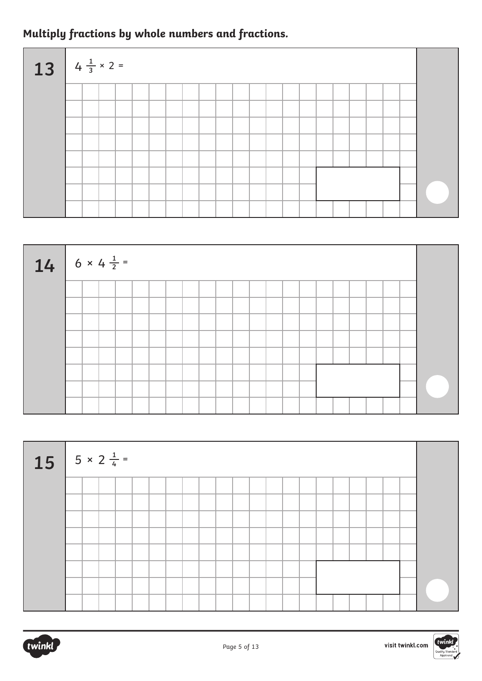### **Multiply fractions by whole numbers and fractions.**

| $13 \mid 4 \frac{1}{3} \times 2 =$ |  |  |  |  |  |  |  |  |  |  |  |
|------------------------------------|--|--|--|--|--|--|--|--|--|--|--|
|                                    |  |  |  |  |  |  |  |  |  |  |  |
|                                    |  |  |  |  |  |  |  |  |  |  |  |
|                                    |  |  |  |  |  |  |  |  |  |  |  |
|                                    |  |  |  |  |  |  |  |  |  |  |  |
|                                    |  |  |  |  |  |  |  |  |  |  |  |
|                                    |  |  |  |  |  |  |  |  |  |  |  |
|                                    |  |  |  |  |  |  |  |  |  |  |  |
|                                    |  |  |  |  |  |  |  |  |  |  |  |



| $15 \t 5 \times 2^{\frac{1}{4}}$ |  |  |  |  |  |  |  |  |  |  |  |
|----------------------------------|--|--|--|--|--|--|--|--|--|--|--|
|                                  |  |  |  |  |  |  |  |  |  |  |  |
|                                  |  |  |  |  |  |  |  |  |  |  |  |
|                                  |  |  |  |  |  |  |  |  |  |  |  |
|                                  |  |  |  |  |  |  |  |  |  |  |  |
|                                  |  |  |  |  |  |  |  |  |  |  |  |
|                                  |  |  |  |  |  |  |  |  |  |  |  |
|                                  |  |  |  |  |  |  |  |  |  |  |  |
|                                  |  |  |  |  |  |  |  |  |  |  |  |

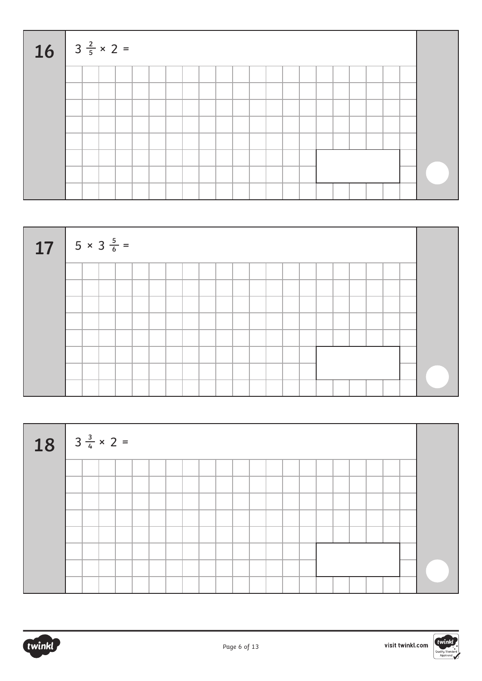| $16$ $3\frac{2}{5} \times 2 =$ |  |  |  |  |  |  |  |  |  |  |  |
|--------------------------------|--|--|--|--|--|--|--|--|--|--|--|
|                                |  |  |  |  |  |  |  |  |  |  |  |
|                                |  |  |  |  |  |  |  |  |  |  |  |
|                                |  |  |  |  |  |  |  |  |  |  |  |
|                                |  |  |  |  |  |  |  |  |  |  |  |
|                                |  |  |  |  |  |  |  |  |  |  |  |
|                                |  |  |  |  |  |  |  |  |  |  |  |
|                                |  |  |  |  |  |  |  |  |  |  |  |
|                                |  |  |  |  |  |  |  |  |  |  |  |







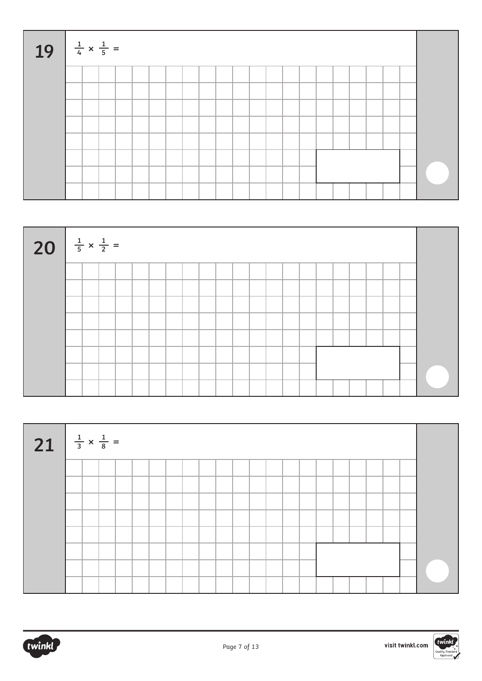| 19 $\frac{1}{4} \times \frac{1}{5} =$ |  |  |  |  |  |  |  |  |  |  |  |
|---------------------------------------|--|--|--|--|--|--|--|--|--|--|--|
|                                       |  |  |  |  |  |  |  |  |  |  |  |
|                                       |  |  |  |  |  |  |  |  |  |  |  |
|                                       |  |  |  |  |  |  |  |  |  |  |  |
|                                       |  |  |  |  |  |  |  |  |  |  |  |
|                                       |  |  |  |  |  |  |  |  |  |  |  |
|                                       |  |  |  |  |  |  |  |  |  |  |  |
|                                       |  |  |  |  |  |  |  |  |  |  |  |
|                                       |  |  |  |  |  |  |  |  |  |  |  |







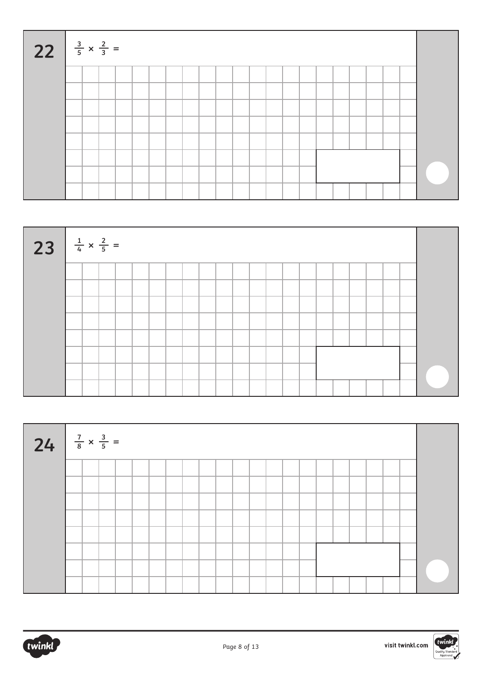| 22 $\frac{3}{5} \times \frac{2}{3} =$ |  |  |  |  |  |  |  |  |  |  |  |
|---------------------------------------|--|--|--|--|--|--|--|--|--|--|--|
|                                       |  |  |  |  |  |  |  |  |  |  |  |
|                                       |  |  |  |  |  |  |  |  |  |  |  |
|                                       |  |  |  |  |  |  |  |  |  |  |  |
|                                       |  |  |  |  |  |  |  |  |  |  |  |
|                                       |  |  |  |  |  |  |  |  |  |  |  |
|                                       |  |  |  |  |  |  |  |  |  |  |  |
|                                       |  |  |  |  |  |  |  |  |  |  |  |
|                                       |  |  |  |  |  |  |  |  |  |  |  |

| 23 $\frac{1}{4} \times \frac{2}{5} =$ |  |  |  |  |  |  |  |  |  |  |  |
|---------------------------------------|--|--|--|--|--|--|--|--|--|--|--|
|                                       |  |  |  |  |  |  |  |  |  |  |  |
|                                       |  |  |  |  |  |  |  |  |  |  |  |
|                                       |  |  |  |  |  |  |  |  |  |  |  |
|                                       |  |  |  |  |  |  |  |  |  |  |  |
|                                       |  |  |  |  |  |  |  |  |  |  |  |
|                                       |  |  |  |  |  |  |  |  |  |  |  |
|                                       |  |  |  |  |  |  |  |  |  |  |  |
|                                       |  |  |  |  |  |  |  |  |  |  |  |

| 24 $\frac{7}{8} \times \frac{3}{5} =$ |  |  |  |  |  |  |  |  |  |  |  |
|---------------------------------------|--|--|--|--|--|--|--|--|--|--|--|
|                                       |  |  |  |  |  |  |  |  |  |  |  |
|                                       |  |  |  |  |  |  |  |  |  |  |  |
|                                       |  |  |  |  |  |  |  |  |  |  |  |
|                                       |  |  |  |  |  |  |  |  |  |  |  |
|                                       |  |  |  |  |  |  |  |  |  |  |  |
|                                       |  |  |  |  |  |  |  |  |  |  |  |
|                                       |  |  |  |  |  |  |  |  |  |  |  |
|                                       |  |  |  |  |  |  |  |  |  |  |  |

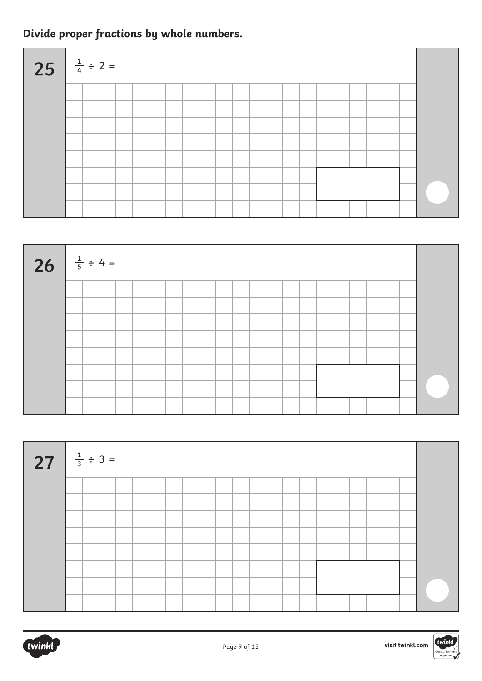### **Divide proper fractions by whole numbers.**

| 25 $\frac{1}{4} \div 2 =$ |  |  |  |  |  |  |  |  |  |  |  |
|---------------------------|--|--|--|--|--|--|--|--|--|--|--|
|                           |  |  |  |  |  |  |  |  |  |  |  |
|                           |  |  |  |  |  |  |  |  |  |  |  |
|                           |  |  |  |  |  |  |  |  |  |  |  |
|                           |  |  |  |  |  |  |  |  |  |  |  |
|                           |  |  |  |  |  |  |  |  |  |  |  |
|                           |  |  |  |  |  |  |  |  |  |  |  |
|                           |  |  |  |  |  |  |  |  |  |  |  |
|                           |  |  |  |  |  |  |  |  |  |  |  |



| 27 $\frac{1}{3} \div 3 =$ |  |  |  |  |  |  |  |  |  |  |  |
|---------------------------|--|--|--|--|--|--|--|--|--|--|--|
|                           |  |  |  |  |  |  |  |  |  |  |  |
|                           |  |  |  |  |  |  |  |  |  |  |  |
|                           |  |  |  |  |  |  |  |  |  |  |  |
|                           |  |  |  |  |  |  |  |  |  |  |  |
|                           |  |  |  |  |  |  |  |  |  |  |  |
|                           |  |  |  |  |  |  |  |  |  |  |  |
|                           |  |  |  |  |  |  |  |  |  |  |  |
|                           |  |  |  |  |  |  |  |  |  |  |  |

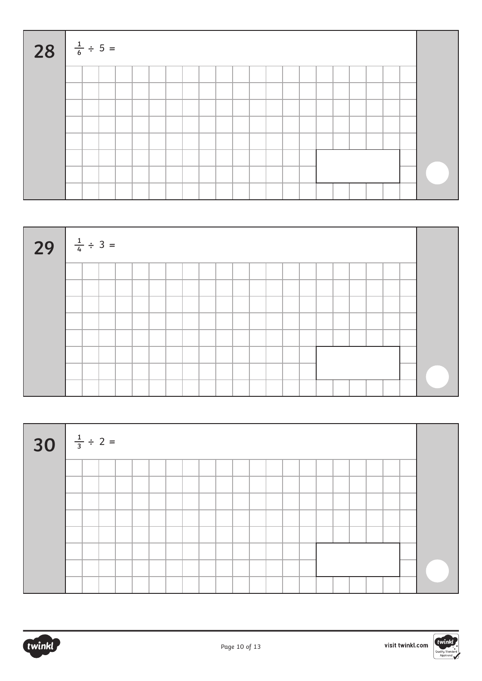| 28 $\frac{1}{6} \div 5 =$ |  |  |  |  |  |  |  |  |  |  |  |
|---------------------------|--|--|--|--|--|--|--|--|--|--|--|
|                           |  |  |  |  |  |  |  |  |  |  |  |
|                           |  |  |  |  |  |  |  |  |  |  |  |
|                           |  |  |  |  |  |  |  |  |  |  |  |
|                           |  |  |  |  |  |  |  |  |  |  |  |
|                           |  |  |  |  |  |  |  |  |  |  |  |
|                           |  |  |  |  |  |  |  |  |  |  |  |
|                           |  |  |  |  |  |  |  |  |  |  |  |
|                           |  |  |  |  |  |  |  |  |  |  |  |

| 29 $\frac{1}{4} \div 3 =$ |  |  |  |  |  |  |  |  |  |  |  |
|---------------------------|--|--|--|--|--|--|--|--|--|--|--|
|                           |  |  |  |  |  |  |  |  |  |  |  |
|                           |  |  |  |  |  |  |  |  |  |  |  |
|                           |  |  |  |  |  |  |  |  |  |  |  |
|                           |  |  |  |  |  |  |  |  |  |  |  |
|                           |  |  |  |  |  |  |  |  |  |  |  |
|                           |  |  |  |  |  |  |  |  |  |  |  |
|                           |  |  |  |  |  |  |  |  |  |  |  |
|                           |  |  |  |  |  |  |  |  |  |  |  |

| 30 $\frac{1}{3} \div 2 =$ |  |  |  |  |  |  |  |  |  |  |  |
|---------------------------|--|--|--|--|--|--|--|--|--|--|--|
|                           |  |  |  |  |  |  |  |  |  |  |  |
|                           |  |  |  |  |  |  |  |  |  |  |  |
|                           |  |  |  |  |  |  |  |  |  |  |  |
|                           |  |  |  |  |  |  |  |  |  |  |  |
|                           |  |  |  |  |  |  |  |  |  |  |  |
|                           |  |  |  |  |  |  |  |  |  |  |  |
|                           |  |  |  |  |  |  |  |  |  |  |  |
|                           |  |  |  |  |  |  |  |  |  |  |  |

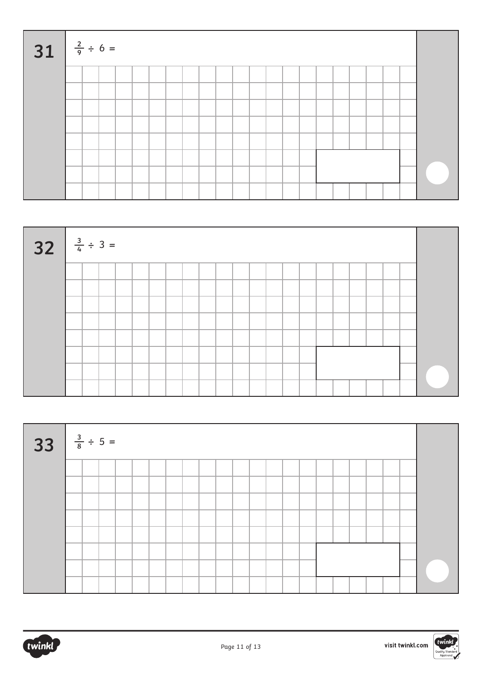| 31 $\frac{2}{9} \div 6 =$ |  |  |  |  |  |  |  |  |  |  |  |
|---------------------------|--|--|--|--|--|--|--|--|--|--|--|
|                           |  |  |  |  |  |  |  |  |  |  |  |
|                           |  |  |  |  |  |  |  |  |  |  |  |
|                           |  |  |  |  |  |  |  |  |  |  |  |
|                           |  |  |  |  |  |  |  |  |  |  |  |
|                           |  |  |  |  |  |  |  |  |  |  |  |
|                           |  |  |  |  |  |  |  |  |  |  |  |
|                           |  |  |  |  |  |  |  |  |  |  |  |
|                           |  |  |  |  |  |  |  |  |  |  |  |

| $32 \frac{3}{4} \div 3 =$ |  |  |  |  |  |  |  |  |  |  |  |
|---------------------------|--|--|--|--|--|--|--|--|--|--|--|
|                           |  |  |  |  |  |  |  |  |  |  |  |
|                           |  |  |  |  |  |  |  |  |  |  |  |
|                           |  |  |  |  |  |  |  |  |  |  |  |
|                           |  |  |  |  |  |  |  |  |  |  |  |
|                           |  |  |  |  |  |  |  |  |  |  |  |
|                           |  |  |  |  |  |  |  |  |  |  |  |
|                           |  |  |  |  |  |  |  |  |  |  |  |
|                           |  |  |  |  |  |  |  |  |  |  |  |

| $33 \frac{3}{8} \div 5 =$ |  |  |  |  |  |  |  |  |  |  |  |
|---------------------------|--|--|--|--|--|--|--|--|--|--|--|
|                           |  |  |  |  |  |  |  |  |  |  |  |
|                           |  |  |  |  |  |  |  |  |  |  |  |
|                           |  |  |  |  |  |  |  |  |  |  |  |
|                           |  |  |  |  |  |  |  |  |  |  |  |
|                           |  |  |  |  |  |  |  |  |  |  |  |
|                           |  |  |  |  |  |  |  |  |  |  |  |
|                           |  |  |  |  |  |  |  |  |  |  |  |
|                           |  |  |  |  |  |  |  |  |  |  |  |

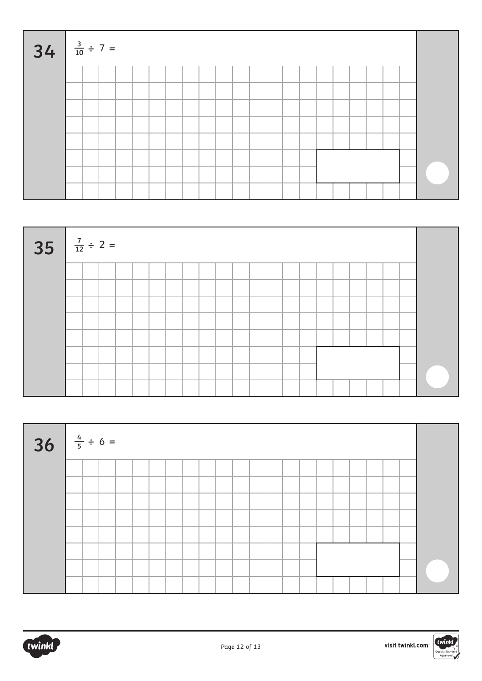| $34 \frac{3}{10} \div 7 =$ |  |  |  |  |  |  |  |  |  |  |  |
|----------------------------|--|--|--|--|--|--|--|--|--|--|--|
|                            |  |  |  |  |  |  |  |  |  |  |  |
|                            |  |  |  |  |  |  |  |  |  |  |  |
|                            |  |  |  |  |  |  |  |  |  |  |  |
|                            |  |  |  |  |  |  |  |  |  |  |  |
|                            |  |  |  |  |  |  |  |  |  |  |  |
|                            |  |  |  |  |  |  |  |  |  |  |  |
|                            |  |  |  |  |  |  |  |  |  |  |  |
|                            |  |  |  |  |  |  |  |  |  |  |  |

| $35 \frac{7}{12} \div 2 =$ |  |  |  |  |  |  |  |  |  |  |  |
|----------------------------|--|--|--|--|--|--|--|--|--|--|--|
|                            |  |  |  |  |  |  |  |  |  |  |  |
|                            |  |  |  |  |  |  |  |  |  |  |  |
|                            |  |  |  |  |  |  |  |  |  |  |  |
|                            |  |  |  |  |  |  |  |  |  |  |  |
|                            |  |  |  |  |  |  |  |  |  |  |  |
|                            |  |  |  |  |  |  |  |  |  |  |  |
|                            |  |  |  |  |  |  |  |  |  |  |  |
|                            |  |  |  |  |  |  |  |  |  |  |  |

| $36 \frac{4}{5} \div 6 =$ |  |  |  |  |  |  |  |  |  |  |  |
|---------------------------|--|--|--|--|--|--|--|--|--|--|--|
|                           |  |  |  |  |  |  |  |  |  |  |  |
|                           |  |  |  |  |  |  |  |  |  |  |  |
|                           |  |  |  |  |  |  |  |  |  |  |  |
|                           |  |  |  |  |  |  |  |  |  |  |  |
|                           |  |  |  |  |  |  |  |  |  |  |  |
|                           |  |  |  |  |  |  |  |  |  |  |  |
|                           |  |  |  |  |  |  |  |  |  |  |  |
|                           |  |  |  |  |  |  |  |  |  |  |  |

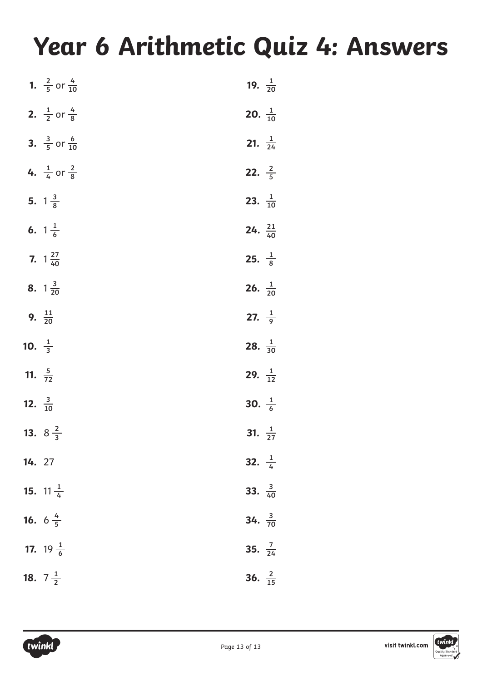# **Year 6 Arithmetic Quiz 4: Answers**

|                           | 1. $\frac{2}{5}$ or $\frac{4}{10}$ | 19. $\frac{1}{20}$        |
|---------------------------|------------------------------------|---------------------------|
|                           | 2. $\frac{1}{2}$ or $\frac{4}{8}$  | 20. $\frac{1}{10}$        |
|                           | 3. $\frac{3}{5}$ or $\frac{6}{10}$ | <b>21.</b> $\frac{1}{24}$ |
|                           | 4. $\frac{1}{4}$ or $\frac{2}{8}$  | 22. $\frac{2}{5}$         |
|                           | 5. $1\frac{3}{8}$                  | 23. $\frac{1}{10}$        |
|                           | 6. $1\frac{1}{6}$                  | 24. $\frac{21}{40}$       |
|                           | 7. $1\frac{27}{40}$                | 25. $\frac{1}{8}$         |
|                           | 8. $1\frac{3}{20}$                 | <b>26.</b> $\frac{1}{20}$ |
| 9. $\frac{11}{20}$        |                                    | 27. $\frac{1}{9}$         |
|                           |                                    |                           |
| 10. $\frac{1}{3}$         |                                    | 28. $\frac{1}{30}$        |
| 11. $\frac{5}{72}$        |                                    | 29. $\frac{1}{12}$        |
| <b>12.</b> $\frac{3}{10}$ |                                    | 30. $\frac{1}{6}$         |
|                           | 13. $8\frac{2}{3}$                 | 31. $\frac{1}{27}$        |
| 14. 27                    |                                    | 32. $\frac{1}{4}$         |
|                           | <b>15.</b> 11 $\frac{1}{4}$        | 33. $\frac{3}{40}$        |
|                           | <b>16.</b> $6\frac{4}{5}$          | 34. $\frac{3}{70}$        |
|                           | <b>17.</b> 19 $\frac{1}{6}$        | 35. $\frac{7}{24}$        |